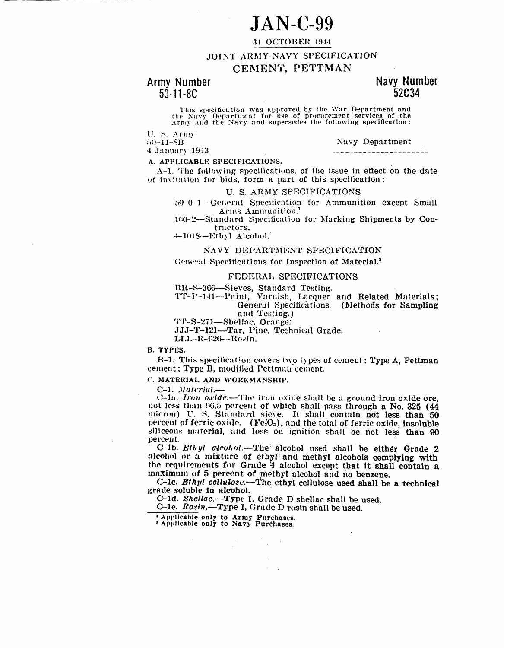# $JAN-C-99$

## 31 OCTOBER 1944

JOINT ARMY-NAVY SPECIFICATION

# CEMENT, PETTMAN

# Army Number  $50 - 11 - 8C$

# Navy Number 52034

This specification was approved by the War Department and the Navy Department for use of procurement services of the Army and the Navy and supersedes the following specification:

U.S. Army

Navy Department

 $50 - 11 - SB$ 4 January 1943

----------<del>--------------</del>-

A. APPLICABLE SPECIFICATIONS.

 $\Lambda$ -1. The following specifications, of the issue in effect on the date of invitation for bids, form a part of this specification:

## U. S. ARMY SPECIFICATIONS

50-0-1 - General Specification for Ammunition except Small Arms Ammunition.<sup>1</sup>

100-2-Standard Specification for Marking Shipments by Contractors.

4-1018-Ethyl Alcohol.

#### NAVY DEPARTMENT SPECIFICATION

General Specifications for Inspection of Material.<sup>2</sup>

### FEDERAL SPECIFICATIONS

RR-S-366-Sieves, Standard Testing.

TT-P-141-Paint, Varnish, Lacquer and Related Materials; General Specifications. (Methods for Sampling

and Testing.)

TT-S-271-Shellac, Orange.

JJJ-T-121-Tar, Pine, Technical Grade.

LLL-R-626-Rosin.

**B. TYPES.** 

B-1. This specification covers two types of cement: Type A, Pettman cement; Type B, modified Pettman cement.

C. MATERIAL AND WORKMANSHIP.

C-1. Material.-

C-1a. Iron oride.—The iron oxide shall be a ground iron oxide ore, not less than 96.5 percent of which shall pass through a No. 325 (44 micron) U. S. Standard sieve. It shall contain not less than 50 percent of ferric oxide. (Fe<sub>2</sub>O<sub>2</sub>), and the total of ferric oxide, insoluble siliceous material, and loss on ignition shall be not less than 90 percent.

C-1b. Ethyl alcohol.-The alcohol used shall be either Grade 2 alcohol or a mixture of ethyl and methyl alcohols complying with the requirements for Grade 4 alcohol except that it shall contain a maximum of 5 percent of methyl alcohol and no benzene.

C-1c. Ethyl cellulosc.-The ethyl cellulose used shall be a technical grade soluble in alcohol.

C-1d. Shellac.-Type I, Grade D shellac shall be used.

 $\sim$   $^{-1}$ 

O-1e. Rosin.-Type I, Grade D rosin shall be used.

<sup>1</sup> Applicable only to Army Purchases.<br><sup>2</sup> Applicable only to Navy Purchases.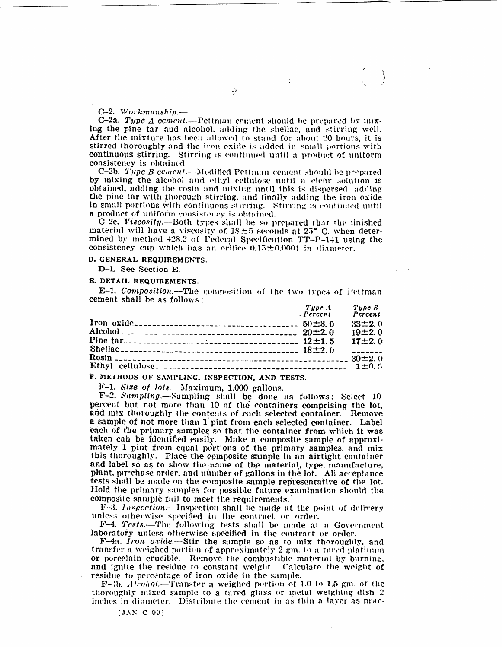#### $C-2.$  Workmanshin.-

C-2a. Type  $\Delta$  coment.—Pettman coment should be prepared by mixing the pine tar and alcohol, adding the shellac, and stirring well. After the mixture has been allowed to stand for about 20 hours, it is stirred thoroughly and the iron oxide is added in small portions with continuous stirring. Stirring is continued until a product of uniform consistency is obtained.

C–2b. *Type B coment.—*Modified Pettman cement should be prepared by mixing the alcohol and ethyl cellulose until a clear solution is obtained, adding the vosin and mixing until this is dispersed, adding the pine tar with thorough stirring, and finally adding the iron oxide in small portions with continuous stirring. Stirring is continued until a product of uniform consistency is obtained.

C-2c. Viscosity.-Both types shall be so prepared that the finished material will have a viscosity of  $18\pm 5$  seconds at  $25^{\circ}$  C, when determined by method 428.2 of Federal Specification TT-P-141 using the consistency cup which has an orifice 0.15±0.0001 in diameter.

#### **D.** GENERAL REQUIREMENTS.

D-L See Section E.

#### **E. DETAIL REQUIREMENTS.**

E-1. Composition.-The composition of the two types of Pettman cement shall be as follows:

| Type.<br>Percent | Tune R<br>Percent |  |
|------------------|-------------------|--|
|                  | $33\pm2.0$        |  |
|                  | 19±2.0            |  |
|                  | $17 \pm 2.0$      |  |
|                  | $     -$          |  |
|                  |                   |  |
|                  |                   |  |

F. METHODS OF SAMPLING, INSPECTION, AND TESTS.

 $F-1$ . Size of  $\log - \text{Maximum}$ , 1.000 gallons.

F-2. Sampling.-Sampling shall be done as follows: Select 10 percent but not more than 10 of the containers comprising the lot, and mix thoroughly the contents of each selected container. Remove a sample of not more than 1 pint from each selected container. Label each of the primary samples so that the container from which it was taken can be identified easily. Make a composite sample of approximately 1 pint from equal portions of the primary samples, and mix this thoroughly. Place the composite sample in an airtight container and label so as to show the name of the material, type, manufacture, plant, purchase order, and number of gallons in the lot. All acceptance tests shall be made on the composite sample representative of the lot. Hold the primary samples for possible future examination should the composite sample fail to meet the requirements.

F-3. Inspection.-Inspection shall be made at the point of delivery unless otherwise specified in the contract or order.

F-4. Tests.-The following tests shall be made at a Government laboratory unless otherwise specified in the contract or order.

 $F-4\pi$ . Iron oxide.—Stir the sample so as to mix thoroughly, and transfer a weighed portion of approximately 2 gm, to a tared platinum or porcelain crucible. Remove the combustible material by burning, and ignite the residue to constant weight. Calculate the weight of residue to percentage of iron oxide in the sample.

F-3b. Alcohol.—Transfer a weighed portion of 1.0 to 1.5 gm, of the thoroughly mixed sample to a tared glass or metal weighing dish 2 inches in diameter. Distribute the cement in as thin a layer as prac-

r **) . ..**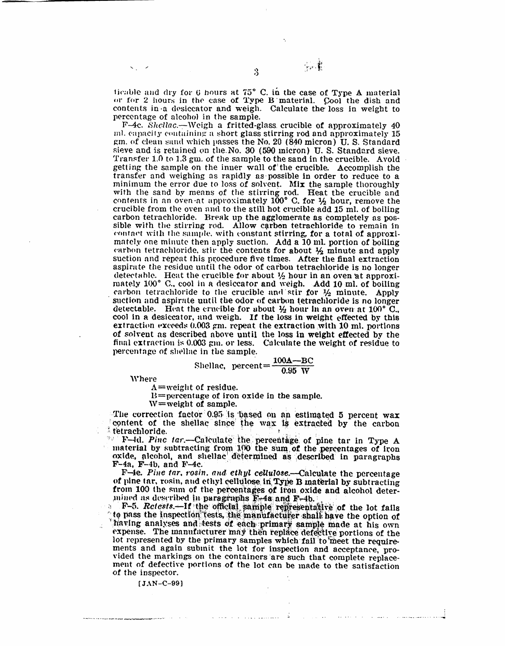ticable and dry for 6 hours at 75° C. in the case of Type A material or for 2 hours in the case of Type B material. Cool the dish and contents in a desiccator and weigh. Calculate the loss in weight to percentage of alcohol in the sample.

 $\ddot{3}$ 

你重

F-4c. Shellac.—Weigh a fritted-glass crucible of approximately 40 ml. capacity containing a short glass stirring rod and approximately 15 gm. of clean sand which passes the No. 20 (840 micron) U.S. Standard sieve and is retained on the No. 30 (590 micron) U.S. Standard sieve. Transfer 1.0 to 1.3 gm. of the sample to the sand in the crucible. Avoid getting the sample on the inner wall of the crucible. Accomplish the transfer and weighing as rapidly as possible in order to reduce to a minimum the error due to loss of solvent. Mix the sample thoroughly with the sand by means of the stirring rod. Heat the crucible and contents in an oven at approximately  $100^{\circ}$  C, for  $\frac{1}{2}$  hour, remove the crucible from the oven and to the still hot crucible add 15 ml, of boiling carbon tetrachloride. Break up the agglomerate as completely as possible with the stirring rod. Allow carbon tetrachloride to remain in contact with the sample, with constant stirring, for a total of approximately one minute then apply suction. Add a 10 ml. portion of boiling carbon tetrachloride, stir the contents for about  $\frac{1}{2}$  minute and apply suction and repeat this procedure five times. After the final extraction aspirate the residue until the odor of carbon tetrachloride is no longer detectable. Heat the crucible for about  $\frac{1}{2}$  hour in an oven at approximately 100° C., cool in a desiceator and weigh. Add 10 ml. of boiling carbon tetrachloride to the crucible and stir for  $\frac{1}{2}$  minute. Apply suction and aspirate until the odor of carbon tetrachloride is no longer detectable. Heat the crucible for about  $\frac{1}{2}$  hour in an oven at 100° C. cool in a desiccator, and weigh. If the loss in weight effected by this extraction exceeds 0.003 gm. repeat the extraction with 10 ml. portions of solvent as described above until the loss in weight effected by the final extraction is 0.003 gm, or less. Calculate the weight of residue to percentage of shellac in the sample.

$$
S
$$
hello. percent = 
$$
\frac{100A - BC}{0.95 W}
$$

**Where** 

 $A = weight$  of residue.

 $B =$  percentage of iron oxide in the sample.

 $W = weight$  of sample.

The correction factor 0.95 is based on an estimated 5 percent wax content of the shellac since the wax is extracted by the carbon tetrachloride.

<sup>9</sup> F-4d. Pinc tar.—Calculate the percentage of pine tar in Type A material by subtracting from 100 the sum of the percentages of iron oxide, alcohol, and shellac determined as described in paragraphs  $F-4a$ ,  $F-4b$ , and  $F-4c$ .

F-4e. Pine tar, rosin, and ethyl cellulose.-Calculate the percentage of pine tar, rosin, and ethyl cellulose in Type B material by subtracting from 100 the sum of the percentages of iron oxide and alcohol determined as described in paragraphs F-4a and F-4b.

F-5. Retests.—If the official sample representative of the lot fails to pass the inspection tests, the manufacturer shall have the option of having analyses and tests of each primary sample made at his own expense. The manufacturer may then replace defective portions of the lot represented by the primary samples which fail to meet the requirements and again submit the lot for inspection and acceptance, provided the markings on the containers are such that complete replacement of defective portions of the lot can be made to the satisfaction of the inspector.

الأران وسيستها ولاورا والمراوية والمتحدث

 $[JAN-C-99]$ 

.<br>Story is a sea and down and a proportional problem and the first  $\mathcal{L}^{(1)}$ 

أستطع ويتصفح وستقدم المتحافظ منامات والعاقلين فالمتحاد والمتحاد والمتحاد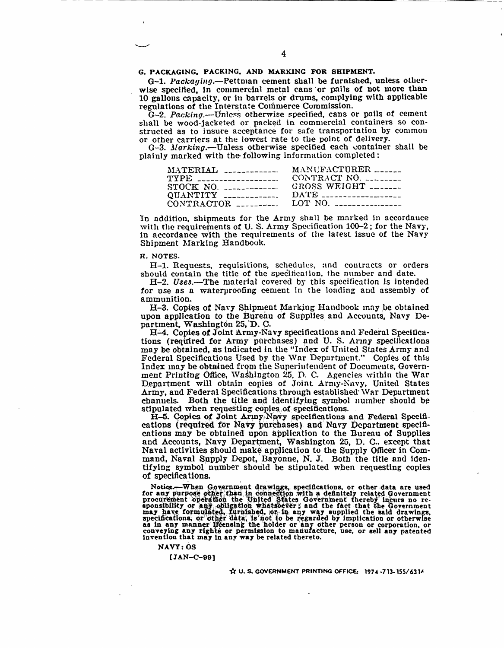G. PACKAGING, PACKING, AND MARKING FOR SHIPMENT.

G-1. Packaying.--Pettman cement shall be furnished, unless otherwise specified, in commercial metal cans or pails of not more than 10 gallons capacity, or in barrels or drums, complying with applicable regulations of the Interstate Commerce Commission.

G-2. Packing.—Unless otherwise specified, cans or pails of cement shall be wood-jacketed or packed in commercial containers so constructed as to insure acceptance for safe transportation by common or other carriers at the lowest rate to the point of delivery.

G-3. Marking.--Unless otherwise specified each container shall be plainly marked with the following information completed:

| MANUFACTURER<br>$\text{MATERIAL}$ -------------    |
|----------------------------------------------------|
| CONTRACT NO. ________<br>TYPE ____________________ |
| GROSS WEIGHT                                       |
| $DATE$ ______________________                      |
| $CONTRACTOR$ _________ LOT NO. _______________     |
|                                                    |

In addition, shipments for the Army shall be marked in accordance with the requirements of U.S. Army Specification 100-2; for the Navy, in accordance with the requirements of the latest issue of the Navy Shipment Marking Handbook.

#### H. NOTES.

H-1. Requests, requisitions, schedules, and contracts or orders should contain the title of the specification, the number and date.

H-2. Uses.-The material covered by this specification is intended for use as a waterproofing cement in the loading and assembly of ammunition.

H-3. Copies of Navy Shipment Marking Handbook may be obtained upon application to the Bureau of Supplies and Accounts, Navy Department, Washington 25, D. C.

H-4. Copies of Joint Army-Navy specifications and Federal Specifications (required for Army purchases) and U.S. Army specifications may be obtained, as indicated in the "Index of United States Army and Federal Specifications Used by the War Department." Copies of this Index may be obtained from the Superintendent of Documents, Government Printing Office, Washington 25, D. C. Agencies within the War Department will obtain copies of Joint Army-Navy, United States Army, and Federal Specifications through established War Department channels. Both the title and identifying symbol number should be stipulated when requesting copies of specifications.

H-5. Copies of Joint Army-Navy specifications and Federal Specifications (required for Navy purchases) and Navy Department specifications may be obtained upon application to the Bureau of Supplies and Accounts, Navy Department, Washington 25, D. C., except that Naval activities should make application to the Supply Officer in Command, Naval Supply Depot, Bayonne, N. J. Both the title and identifying symbol number should be stipulated when requesting copies of specifications.

Notice.—When Government drawings, specifications, or other data are used<br>for any purpose other than in connection with a definitely related Government<br>procurement operation the United States Government thereby incurs no re as in any manner licensing the holder or any other person or corporation, or<br>conveying any rights or permission to manufacture, use, or sell any patented invention that may in any way be related thereto.

**NAVY: 0S** 

 $[JAN-C-99]$ 

 $\overleftrightarrow{X}$  U. S. GOVERNMENT PRINTING OFFICE: 1974-713-155/6314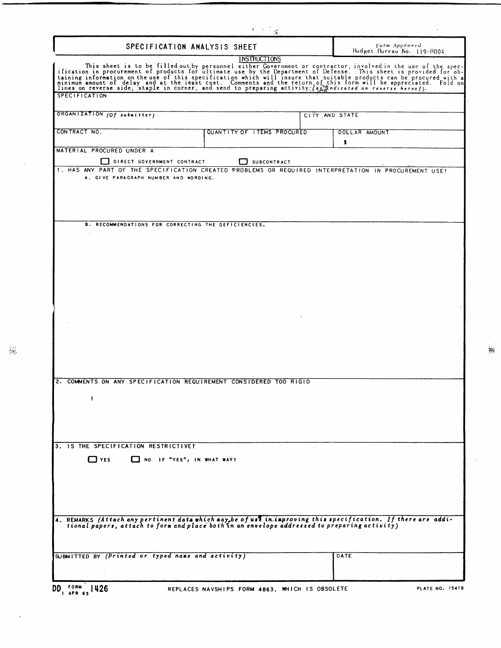| SPECIFICATION ANALYSIS SHEET<br>INSTRUCTIONS<br>This sheet is to be filled out by personnel either Government or contractor, involved in the use of the spec-<br>taining information in procurement of products for ultimate use by the Department of Defense. This sheet is prov<br><b>SPECIFICATION</b><br>ORGANIZATION (Of submitter) | Form Approved<br>Budget Bureau No. 119-B004 |
|------------------------------------------------------------------------------------------------------------------------------------------------------------------------------------------------------------------------------------------------------------------------------------------------------------------------------------------|---------------------------------------------|
|                                                                                                                                                                                                                                                                                                                                          |                                             |
|                                                                                                                                                                                                                                                                                                                                          |                                             |
|                                                                                                                                                                                                                                                                                                                                          |                                             |
|                                                                                                                                                                                                                                                                                                                                          | CITY AND STATE                              |
| CONTRACT NO.<br>QUANTITY OF ITEMS PROCURED                                                                                                                                                                                                                                                                                               | DOLLAR AMOUNT                               |
| MATERIAL PROCURED UNDER A<br>DIRECT GOVERNMENT CONTRACT<br>SUBCONTRACT                                                                                                                                                                                                                                                                   | \$                                          |
| 1. HAS ANY PART OF THE SPECIFICATION CREATED PROBLEMS OR REQUIRED INTERPRETATION IN PROCUREMENT USE?<br>A. GIVE PARAGRAPH NUMBER AND WORDING.                                                                                                                                                                                            |                                             |
| B. RECOMMENDATIONS FOR CORRECTING THE DEFICIENCIES.                                                                                                                                                                                                                                                                                      |                                             |
|                                                                                                                                                                                                                                                                                                                                          |                                             |
|                                                                                                                                                                                                                                                                                                                                          |                                             |
|                                                                                                                                                                                                                                                                                                                                          |                                             |
| 2. COMMENTS ON ANY SPECIFICATION REQUIREMENT CONSIDERED TOO RIGID                                                                                                                                                                                                                                                                        |                                             |
|                                                                                                                                                                                                                                                                                                                                          |                                             |
|                                                                                                                                                                                                                                                                                                                                          |                                             |
| 3. IS THE SPECIFICATION RESTRICTIVE?<br>$\Box$ YES<br>NO IF "YES", IN WHAT WAY?                                                                                                                                                                                                                                                          |                                             |
| <b>Contract</b><br>$\sim 100$ km s $^{-1}$                                                                                                                                                                                                                                                                                               |                                             |
| 4. REMARKS (Attach any pertinent data which may be of use in improving this specification. If there are addi-<br>tional papers, attach to form and place both in an envelope addressed to preparing activity)                                                                                                                            |                                             |
| SUBMITTED BY (Printed or typed name and activity)                                                                                                                                                                                                                                                                                        | DATE                                        |

 $\mathcal{A}^{\mathcal{A}}$ 

 $\frac{1}{2} \frac{1}{2}$ 

 $\sim$ 

 $\overline{\phantom{a}}$ 

 $\epsilon$ ă

 $\ddot{\phantom{a}}$